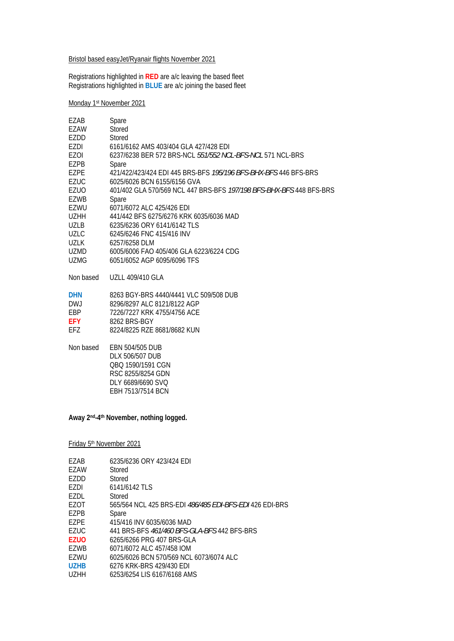#### Bristol based easyJet/Ryanair flights November 2021

Registrations highlighted in **RED** are a/c leaving the based fleet Registrations highlighted in **BLUE** are a/c joining the based fleet

Monday 1st November 2021

| EZAB        | Spare                                                               |
|-------------|---------------------------------------------------------------------|
| EZAW        | Stored                                                              |
| EZDD        | Stored                                                              |
| EZDI        | 6161/6162 AMS 403/404 GLA 427/428 EDI                               |
| EZOI        | 6237/6238 BER 572 BRS-NCL 551/552 NCL-BFS-NCL 571 NCL-BRS           |
| <b>EZPB</b> | Spare                                                               |
| EZPE        | 421/422/423/424 EDI 445 BRS-BFS 195/196 BFS-BHX-BFS 446 BFS-BRS     |
| <b>EZUC</b> | 6025/6026 BCN 6155/6156 GVA                                         |
| <b>EZUO</b> | 401/402 GLA 570/569 NCL 447 BRS-BFS 197/198 BFS-BHX-BFS 448 BFS-BRS |
| EZWB        | Spare                                                               |
| EZWU        | 6071/6072 ALC 425/426 EDI                                           |
| <b>UZHH</b> | 441/442 BFS 6275/6276 KRK 6035/6036 MAD                             |
| <b>UZLB</b> | 6235/6236 ORY 6141/6142 TLS                                         |
| <b>UZLC</b> | 6245/6246 FNC 415/416 INV                                           |
| <b>UZLK</b> | 6257/6258 DLM                                                       |
| UZMD        | 6005/6006 FAO 405/406 GLA 6223/6224 CDG                             |
| <b>UZMG</b> | 6051/6052 AGP 6095/6096 TFS                                         |
| Non based   | <b>UZLL 409/410 GLA</b>                                             |
| <b>DHN</b>  | 8263 BGY-BRS 4440/4441 VLC 509/508 DUB                              |
| DW.J        | 8296/8297 ALC 8121/8122 AGP                                         |
| EBP         | 7226/7227 KRK 4755/4756 ACE                                         |
| EFY.        | 8262 BRS-BGY                                                        |
| EFZ.        | 8224/8225 RZE 8681/8682 KUN                                         |
| Non based   | EBN 504/505 DUB                                                     |
|             | DLX 506/507 DUB                                                     |
|             | OBO 1590/1591 CGN                                                   |
|             | RSC 8255/8254 GDN                                                   |
|             | DLY 6689/6690 SVQ                                                   |
|             | EBH 7513/7514 BCN                                                   |
|             |                                                                     |

**Away 2nd-4th November, nothing logged.** 

Friday 5th November 2021

| F7AB              | 6235/6236 ORY 423/424 EDI                               |
|-------------------|---------------------------------------------------------|
| F7AW              | Stored                                                  |
| F7DD              | Stored                                                  |
| F7DI              | 6141/6142 TLS                                           |
| EZDL              | Stored                                                  |
| F70T              | 565/564 NCL 425 BRS-EDI 486/485 EDI-BFS-EDI 426 EDI-BRS |
| F7PB              | Spare                                                   |
| F7PF              | 415/416 INV 6035/6036 MAD                               |
| F7UC              | 441 BRS-BFS 461/460 BFS-GLA-BFS 442 BFS-BRS             |
| <b>F7UO</b>       | 6265/6266 PRG 407 BRS-GLA                               |
| F7W <sub>R</sub>  | 6071/6072 ALC 457/458 IOM                               |
| F7WU              | 6025/6026 BCN 570/569 NCL 6073/6074 ALC                 |
| U7HB              | 6276 KRK-BRS 429/430 EDI                                |
| U <sub>7</sub> HH | 6253/6254 LIS 6167/6168 AMS                             |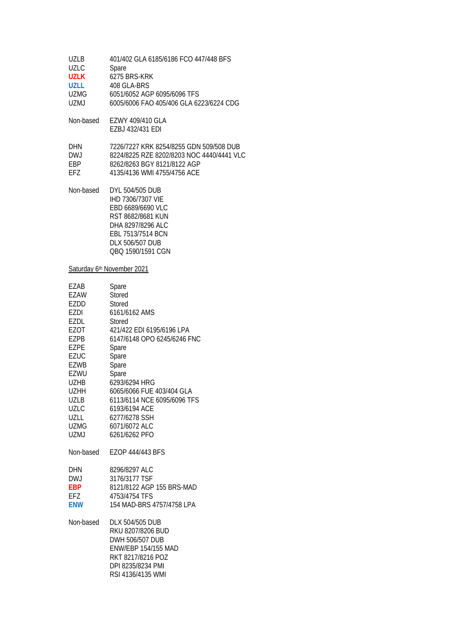| <b>UZLB</b><br><b>UZLC</b><br><b>UZLK</b><br><b>UZLL</b><br>UZMG<br><b>UZMJ</b>                                                                                                        | 401/402 GLA 6185/6186 FCO 447/448 BFS<br>Spare<br>6275 BRS-KRK<br>408 GLA-BRS<br>6051/6052 AGP 6095/6096 TFS<br>6005/6006 FAO 405/406 GLA 6223/6224 CDG                                                                                                                                               |
|----------------------------------------------------------------------------------------------------------------------------------------------------------------------------------------|-------------------------------------------------------------------------------------------------------------------------------------------------------------------------------------------------------------------------------------------------------------------------------------------------------|
| Non-based                                                                                                                                                                              | EZWY 409/410 GLA<br>EZBJ 432/431 EDI                                                                                                                                                                                                                                                                  |
| DHN<br><b>DWJ</b><br><b>EBP</b><br>EFZ                                                                                                                                                 | 7226/7227 KRK 8254/8255 GDN 509/508 DUB<br>8224/8225 RZE 8202/8203 NOC 4440/4441 VLC<br>8262/8263 BGY 8121/8122 AGP<br>4135/4136 WMI 4755/4756 ACE                                                                                                                                                    |
| Non-based                                                                                                                                                                              | DYL 504/505 DUB<br>IHD 7306/7307 VIE<br>EBD 6689/6690 VLC<br>RST 8682/8681 KUN<br>DHA 8297/8296 ALC<br>EBL 7513/7514 BCN<br>DLX 506/507 DUB<br>QBQ 1590/1591 CGN                                                                                                                                      |
|                                                                                                                                                                                        | Saturday 6th November 2021                                                                                                                                                                                                                                                                            |
| EZAB<br>EZAW<br>EZDD<br>EZDI<br>EZDL<br>EZOT<br><b>EZPB</b><br><b>EZPE</b><br><b>EZUC</b><br><b>EZWB</b><br>EZWU<br>UZHB<br>UZHH<br>UZLB<br><b>UZLC</b><br>UZLL<br><b>UZMG</b><br>UZMJ | Spare<br>Stored<br>Stored<br>6161/6162 AMS<br>Stored<br>421/422 EDI 6195/6196 LPA<br>6147/6148 OPO 6245/6246 FNC<br>Spare<br>Spare<br>Spare<br>Spare<br>6293/6294 HRG<br>6065/6066 FUE 403/404 GLA<br>6113/6114 NCE 6095/6096 TFS<br>6193/6194 ACE<br>6277/6278 SSH<br>6071/6072 ALC<br>6261/6262 PFO |
| Non-based                                                                                                                                                                              | EZOP 444/443 BFS                                                                                                                                                                                                                                                                                      |
| DHN<br><b>DWJ</b><br><b>EBP</b><br>EFZ<br><b>ENW</b>                                                                                                                                   | 8296/8297 ALC<br>3176/3177 TSF<br>8121/8122 AGP 155 BRS-MAD<br>4753/4754 TFS<br>154 MAD-BRS 4757/4758 LPA                                                                                                                                                                                             |
| Non-based                                                                                                                                                                              | DLX 504/505 DUB<br>RKU 8207/8206 BUD                                                                                                                                                                                                                                                                  |

| RKU 8207/8206 BUD          |
|----------------------------|
| DWH 506/507 DUB            |
| <b>ENW/EBP 154/155 MAD</b> |
| RKT 8217/8216 POZ          |
| DPI 8235/8234 PMI          |
| RSI 4136/4135 WMI          |
|                            |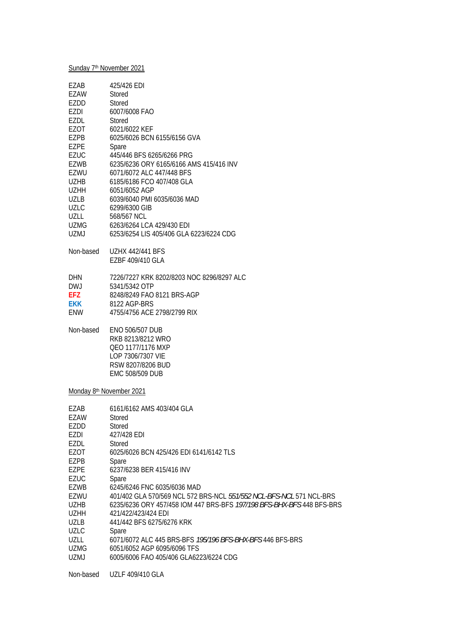## Sunday 7<sup>th</sup> November 2021

| EZAB                | 425/426 EDI                                                                                                                          |
|---------------------|--------------------------------------------------------------------------------------------------------------------------------------|
| EZAW                | Stored                                                                                                                               |
| EZDD                | Stored                                                                                                                               |
| EZDI                | 6007/6008 FAO                                                                                                                        |
| EZDL                | Stored                                                                                                                               |
| EZOT                | 6021/6022 KEF                                                                                                                        |
| EZPB                | 6025/6026 BCN 6155/6156 GVA                                                                                                          |
| EZPE                | Spare                                                                                                                                |
| EZUC                | 445/446 BFS 6265/6266 PRG                                                                                                            |
| EZWB                | 6235/6236 ORY 6165/6166 AMS 415/416 INV                                                                                              |
| EZWU                | 6071/6072 ALC 447/448 BFS                                                                                                            |
| <b>UZHB</b>         | 6185/6186 FCO 407/408 GLA                                                                                                            |
| <b>UZHH</b>         | 6051/6052 AGP                                                                                                                        |
| <b>UZLB</b>         | 6039/6040 PMI 6035/6036 MAD                                                                                                          |
| <b>UZLC</b>         | 6299/6300 GIB                                                                                                                        |
| UZLL                | 568/567 NCL                                                                                                                          |
| <b>UZMG</b>         | 6263/6264 LCA 429/430 EDI                                                                                                            |
| UZMJ                | 6253/6254 LIS 405/406 GLA 6223/6224 CDG                                                                                              |
| Non-based           | <b>UZHX 442/441 BFS</b>                                                                                                              |
|                     | EZBF 409/410 GLA                                                                                                                     |
|                     |                                                                                                                                      |
| <b>DHN</b>          | 7226/7227 KRK 8202/8203 NOC 8296/8297 ALC                                                                                            |
| <b>DWJ</b>          | 5341/5342 OTP                                                                                                                        |
| EFZ                 | 8248/8249 FAO 8121 BRS-AGP                                                                                                           |
| <b>EKK</b>          | 8122 AGP-BRS                                                                                                                         |
| ENW                 | 4755/4756 ACE 2798/2799 RIX                                                                                                          |
| Non-based           | <b>ENO 506/507 DUB</b><br>RKB 8213/8212 WRO<br>QEO 1177/1176 MXP<br>LOP 7306/7307 VIE<br>RSW 8207/8206 BUD<br><b>EMC 508/509 DUB</b> |
|                     | Monday 8 <sup>th</sup> November 2021                                                                                                 |
|                     |                                                                                                                                      |
| EZAB                | 6161/6162 AMS 403/404 GLA                                                                                                            |
| EZAW                | Stored                                                                                                                               |
| EZDD                | Stored                                                                                                                               |
| EZDI                | 427/428 EDI                                                                                                                          |
| <b>EZDL</b><br>EZOT | Stored<br>6025/6026 BCN 425/426 EDI 6141/6142 TLS                                                                                    |
| EZPB                | Spare                                                                                                                                |
| EZPE                | 6237/6238 BER 415/416 INV                                                                                                            |
| EZUC                | Spare                                                                                                                                |
| <b>EZWB</b>         | 6245/6246 FNC 6035/6036 MAD                                                                                                          |
| EZWU                | 401/402 GLA 570/569 NCL 572 BRS-NCL 551/552 NCL-BFS-NCL 571 NCL-BRS                                                                  |
| <b>UZHB</b>         | 6235/6236 ORY 457/458 IOM 447 BRS-BFS 197/198 BFS-BHX-BFS 448 BFS-BRS                                                                |
| <b>UZHH</b>         | 421/422/423/424 EDI                                                                                                                  |
| <b>UZLB</b>         | 441/442 BFS 6275/6276 KRK                                                                                                            |
| UZLC                | Spare                                                                                                                                |
| UZLL                | 6071/6072 ALC 445 BRS-BFS 195/196 BFS-BHX-BFS 446 BFS-BRS                                                                            |
| <b>UZMG</b>         | 6051/6052 AGP 6095/6096 TFS                                                                                                          |
| <b>UZMJ</b>         | 6005/6006 FAO 405/406 GLA6223/6224 CDG                                                                                               |

Non-based UZLF 409/410 GLA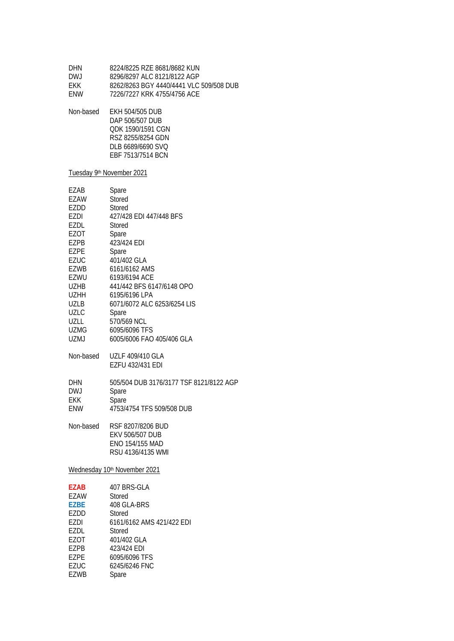| DHN<br><b>DWJ</b><br>EKK<br>ENW                                                                                                                                                        | 8224/8225 RZE 8681/8682 KUN<br>8296/8297 ALC 8121/8122 AGP<br>8262/8263 BGY 4440/4441 VLC 509/508 DUB<br>7226/7227 KRK 4755/4756 ACE                                                                                                                                                                       |  |
|----------------------------------------------------------------------------------------------------------------------------------------------------------------------------------------|------------------------------------------------------------------------------------------------------------------------------------------------------------------------------------------------------------------------------------------------------------------------------------------------------------|--|
| Non-based                                                                                                                                                                              | <b>EKH 504/505 DUB</b><br>DAP 506/507 DUB<br>QDK 1590/1591 CGN<br>RSZ 8255/8254 GDN<br>DLB 6689/6690 SVQ<br>EBF 7513/7514 BCN                                                                                                                                                                              |  |
| Tuesday 9th November 2021                                                                                                                                                              |                                                                                                                                                                                                                                                                                                            |  |
| EZAB<br>EZAW<br>EZDD<br>EZDI<br>EZDL<br>EZOT<br>EZPB<br><b>EZPE</b><br><b>EZUC</b><br><b>EZWB</b><br>EZWU<br><b>UZHB</b><br>UZHH<br>UZLB<br><b>UZLC</b><br>UZLL<br>UZMG<br><b>UZMJ</b> | Spare<br><b>Stored</b><br>Stored<br>427/428 EDI 447/448 BFS<br>Stored<br>Spare<br>423/424 EDI<br>Spare<br>401/402 GLA<br>6161/6162 AMS<br>6193/6194 ACE<br>441/442 BFS 6147/6148 OPO<br>6195/6196 LPA<br>6071/6072 ALC 6253/6254 LIS<br>Spare<br>570/569 NCL<br>6095/6096 TFS<br>6005/6006 FAO 405/406 GLA |  |
| Non-based                                                                                                                                                                              | UZLF 409/410 GLA<br><b>EZFU 432/431 EDI</b>                                                                                                                                                                                                                                                                |  |
| <b>DHN</b><br><b>DWJ</b><br>EKK<br>ENW<br>Non-based                                                                                                                                    | 505/504 DUB 3176/3177 TSF 8121/8122 AGP<br>Spare<br>Spare<br>4753/4754 TFS 509/508 DUB<br>RSF 8207/8206 BUD                                                                                                                                                                                                |  |
|                                                                                                                                                                                        | <b>EKV 506/507 DUB</b><br>ENO 154/155 MAD<br>RSU 4136/4135 WMI                                                                                                                                                                                                                                             |  |
| Wednesday 10th November 2021                                                                                                                                                           |                                                                                                                                                                                                                                                                                                            |  |
| EZAB<br>EZAW<br><b>EZBE</b><br>EZDD<br><b>EZDI</b><br>EZDL<br>EZOT<br>EZPB<br><b>EZPE</b><br><b>EZUC</b><br><b>EZWB</b>                                                                | 407 BRS-GLA<br>Stored<br>408 GLA-BRS<br>Stored<br>6161/6162 AMS 421/422 EDI<br>Stored<br>401/402 GLA<br>423/424 EDI<br>6095/6096 TFS<br>6245/6246 FNC<br>Spare                                                                                                                                             |  |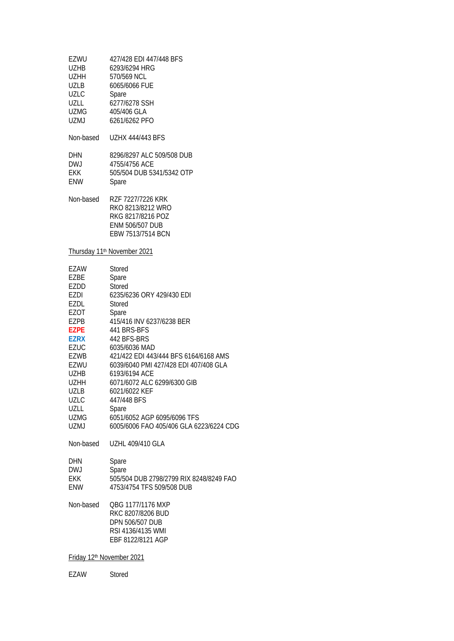| EZWU<br>UZHB<br>UZHH<br>UZLB<br><b>UZLC</b><br>UZLL<br><b>UZMG</b><br>UZMJ                                                                                                              | 427/428 EDI 447/448 BFS<br>6293/6294 HRG<br>570/569 NCL<br>6065/6066 FUE<br>Spare<br>6277/6278 SSH<br>405/406 GLA<br>6261/6262 PFO                                                                                                                                                                                                                                                                         |
|-----------------------------------------------------------------------------------------------------------------------------------------------------------------------------------------|------------------------------------------------------------------------------------------------------------------------------------------------------------------------------------------------------------------------------------------------------------------------------------------------------------------------------------------------------------------------------------------------------------|
| Non-based                                                                                                                                                                               | <b>UZHX 444/443 BFS</b>                                                                                                                                                                                                                                                                                                                                                                                    |
| <b>DHN</b><br>DWJ<br>EKK<br>ENW                                                                                                                                                         | 8296/8297 ALC 509/508 DUB<br>4755/4756 ACE<br>505/504 DUB 5341/5342 OTP<br>Spare                                                                                                                                                                                                                                                                                                                           |
| Non-based                                                                                                                                                                               | RZF 7227/7226 KRK<br>RKO 8213/8212 WRO<br>RKG 8217/8216 POZ<br><b>ENM 506/507 DUB</b><br>EBW 7513/7514 BCN                                                                                                                                                                                                                                                                                                 |
|                                                                                                                                                                                         | Thursday 11 <sup>th</sup> November 2021                                                                                                                                                                                                                                                                                                                                                                    |
| EZAW<br>EZBE<br>EZDD<br>EZDI<br>EZDL<br>EZOT<br>EZPB<br><b>EZPE</b><br>EZRX<br>EZUC<br><b>EZWB</b><br>EZWU<br><b>UZHB</b><br><b>UZHH</b><br>UZLB<br><b>UZLC</b><br>UZLL<br>UZMG<br>UZMJ | Stored<br>Spare<br>Stored<br>6235/6236 ORY 429/430 EDI<br>Stored<br>Spare<br>415/416 INV 6237/6238 BER<br>441 BRS-BFS<br>442 BFS-BRS<br>6035/6036 MAD<br>421/422 EDI 443/444 BFS 6164/6168 AMS<br>6039/6040 PMI 427/428 EDI 407/408 GLA<br>6193/6194 ACE<br>6071/6072 ALC 6299/6300 GIB<br>6021/6022 KEF<br>447/448 BFS<br>Spare<br>6051/6052 AGP 6095/6096 TFS<br>6005/6006 FAO 405/406 GLA 6223/6224 CDG |
| Non-based                                                                                                                                                                               | <b>UZHL 409/410 GLA</b>                                                                                                                                                                                                                                                                                                                                                                                    |
| DHN<br><b>DWJ</b><br>EKK.<br>ENW                                                                                                                                                        | Spare<br>Spare<br>505/504 DUB 2798/2799 RIX 8248/8249 FAO<br>4753/4754 TFS 509/508 DUB                                                                                                                                                                                                                                                                                                                     |
| Non-based                                                                                                                                                                               | QBG 1177/1176 MXP<br>RKC 8207/8206 BUD<br><b>DPN 506/507 DUB</b><br>RSI 4136/4135 WMI<br>EBF 8122/8121 AGP                                                                                                                                                                                                                                                                                                 |
| Friday 12 <sup>th</sup> November 2021                                                                                                                                                   |                                                                                                                                                                                                                                                                                                                                                                                                            |

EZAW Stored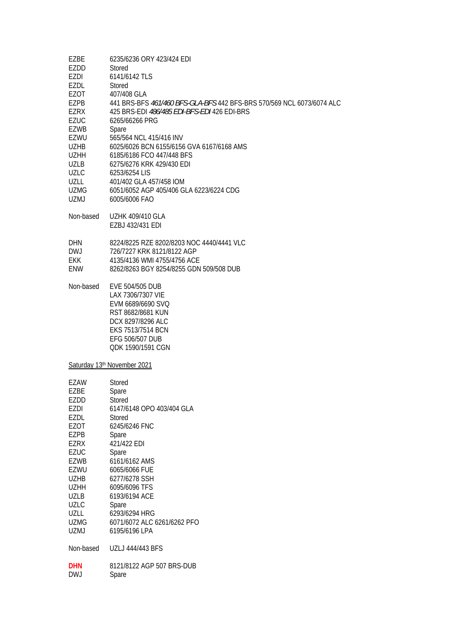| EZBE<br>EZDD<br>EZDI<br>EZDL.<br>EZOT<br>EZPB<br>EZRX<br><b>EZUC</b><br>EZWB<br>EZWU<br><b>UZHB</b><br><b>UZHH</b><br>UZLB<br><b>UZLC</b><br>UZLL<br><b>UZMG</b><br>UZMJ               | 6235/6236 ORY 423/424 EDI<br>Stored<br>6141/6142 TLS<br>Stored<br>407/408 GLA<br>441 BRS-BFS 461/460 BFS-GLA-BFS 442 BFS-BRS 570/569 NCL 6073/6074 ALC<br>425 BRS-EDI 486/485 EDI-BFS-EDI 426 EDI-BRS<br>6265/66266 PRG<br>Spare<br>565/564 NCL 415/416 INV<br>6025/6026 BCN 6155/6156 GVA 6167/6168 AMS<br>6185/6186 FCO 447/448 BFS<br>6275/6276 KRK 429/430 EDI<br>6253/6254 LIS<br>401/402 GLA 457/458 IOM<br>6051/6052 AGP 405/406 GLA 6223/6224 CDG<br>6005/6006 FAO |
|----------------------------------------------------------------------------------------------------------------------------------------------------------------------------------------|----------------------------------------------------------------------------------------------------------------------------------------------------------------------------------------------------------------------------------------------------------------------------------------------------------------------------------------------------------------------------------------------------------------------------------------------------------------------------|
| Non-based                                                                                                                                                                              | <b>UZHK 409/410 GLA</b><br>EZBJ 432/431 EDI                                                                                                                                                                                                                                                                                                                                                                                                                                |
| DHN.<br>DWJ.<br>EKK<br>ENW.                                                                                                                                                            | 8224/8225 RZE 8202/8203 NOC 4440/4441 VLC<br>726/7227 KRK 8121/8122 AGP<br>4135/4136 WMI 4755/4756 ACE<br>8262/8263 BGY 8254/8255 GDN 509/508 DUB                                                                                                                                                                                                                                                                                                                          |
| Non-based                                                                                                                                                                              | EVE 504/505 DUB<br>LAX 7306/7307 VIE<br>EVM 6689/6690 SVQ<br>RST 8682/8681 KUN<br>DCX 8297/8296 ALC<br>EKS 7513/7514 BCN<br>EFG 506/507 DUB<br>QDK 1590/1591 CGN                                                                                                                                                                                                                                                                                                           |
|                                                                                                                                                                                        | Saturday 13th November 2021                                                                                                                                                                                                                                                                                                                                                                                                                                                |
| EZAW<br>EZBE<br>EZDD<br>EZDI<br>EZDL<br>EZOT<br>EZPB<br>EZRX<br>EZUC<br><b>EZWB</b><br>EZWU<br><b>UZHB</b><br><b>UZHH</b><br><b>UZLB</b><br><b>UZLC</b><br>UZLL<br><b>UZMG</b><br>UZMJ | Stored<br>Spare<br>Stored<br>6147/6148 OPO 403/404 GLA<br>Stored<br>6245/6246 FNC<br>Spare<br>421/422 EDI<br>Spare<br>6161/6162 AMS<br>6065/6066 FUE<br>6277/6278 SSH<br>6095/6096 TFS<br>6193/6194 ACE<br>Spare<br>6293/6294 HRG<br>6071/6072 ALC 6261/6262 PFO<br>6195/6196 LPA                                                                                                                                                                                          |
| Non-based                                                                                                                                                                              | <b>UZLJ 444/443 BFS</b>                                                                                                                                                                                                                                                                                                                                                                                                                                                    |

**DHN** 8121/8122 AGP 507 BRS-DUB<br>DWJ Spare Spare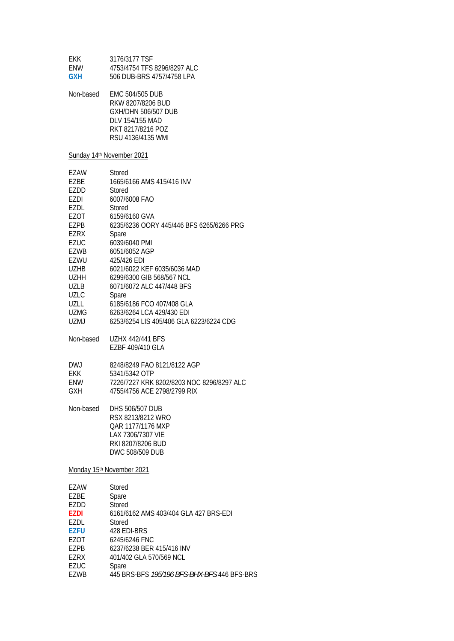| FKK.       | 3176/3177 TSF               |
|------------|-----------------------------|
| <b>FNW</b> | 4753/4754 TFS 8296/8297 ALC |
| GXH        | 506 DUB-BRS 4757/4758 LPA   |

| Non-based | <b>EMC 504/505 DUB</b> |
|-----------|------------------------|
|           | RKW 8207/8206 BUD      |
|           | GXH/DHN 506/507 DUB    |
|           | DLV 154/155 MAD        |
|           | RKT 8217/8216 POZ      |
|           | RSU 4136/4135 WMI      |

### Sunday 14<sup>th</sup> November 2021

| <b>EZAW</b> | Stored                                    |
|-------------|-------------------------------------------|
| EZBE        | 1665/6166 AMS 415/416 INV                 |
| EZDD        | Stored                                    |
| EZDI        | 6007/6008 FAO                             |
| EZDL        | Stored                                    |
| EZOT        | 6159/6160 GVA                             |
| EZPB        | 6235/6236 OORY 445/446 BFS 6265/6266 PRG  |
| <b>EZRX</b> | Spare                                     |
| EZUC        | 6039/6040 PMI                             |
| EZWB        | 6051/6052 AGP                             |
| EZWU        | 425/426 FDI                               |
| UZHB.       | 6021/6022 KEF 6035/6036 MAD               |
| <b>UZHH</b> | 6299/6300 GIB 568/567 NCL                 |
| <b>UZLB</b> | 6071/6072 ALC 447/448 BFS                 |
| <b>UZLC</b> | Spare                                     |
| UZLL        | 6185/6186 FCO 407/408 GLA                 |
| <b>UZMG</b> | 6263/6264 LCA 429/430 EDI                 |
| UZMJ        | 6253/6254 LIS 405/406 GLA 6223/6224 CDG   |
| Non-based   | <b>UZHX 442/441 BFS</b>                   |
|             | EZBF 409/410 GLA                          |
| DW.J        | 8248/8249 FAO 8121/8122 AGP               |
| <b>EKK</b>  | 5341/5342 OTP                             |
| <b>ENW</b>  | 7226/7227 KRK 8202/8203 NOC 8296/8297 ALC |
| <b>GXH</b>  | 4755/4756 ACE 2798/2799 RIX               |
| Non-based   | DHS 506/507 DUB                           |
|             | RSX 8213/8212 WRO                         |
|             | OAR 1177/1176 MXP                         |
|             | LAX 7306/7307 VIE                         |

# Monday 15<sup>th</sup> November 2021

 RKI 8207/8206 BUD DWC 508/509 DUB

| EZAW        | Stored                                      |
|-------------|---------------------------------------------|
| EZBE        | Spare                                       |
| EZDD        | Stored                                      |
| <b>EZDI</b> | 6161/6162 AMS 403/404 GLA 427 BRS-EDI       |
| EZDL        | Stored                                      |
| <b>F7FU</b> | 428 FDI-BRS                                 |
| EZOT        | 6245/6246 FNC                               |
| F7PB        | 6237/6238 BER 415/416 INV                   |
| F7RX        | 401/402 GLA 570/569 NCL                     |
| EZUC        | Spare                                       |
| F7WB        | 445 BRS-BFS 195/196 BFS-BHX-BFS 446 BFS-BRS |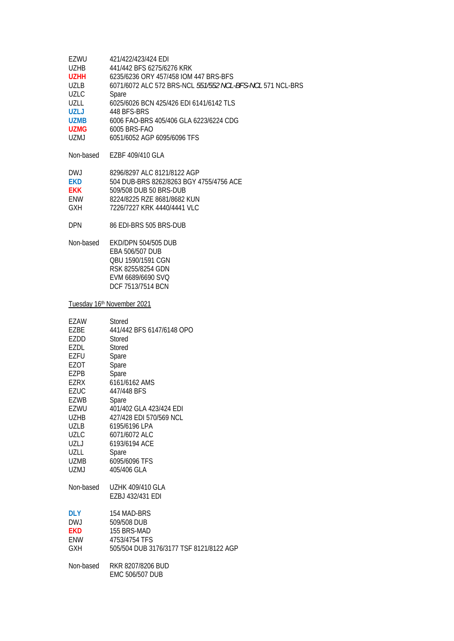| EZWU        | 421/422/423/424 EDI                                       |
|-------------|-----------------------------------------------------------|
| UZHB        | 441/442 BFS 6275/6276 KRK                                 |
| <b>UZHH</b> | 6235/6236 ORY 457/458 IOM 447 BRS-BFS                     |
| <b>UZLB</b> | 6071/6072 ALC 572 BRS-NCL 551/552 NCL-BFS-NCL 571 NCL-BRS |
| <b>UZLC</b> | Spare                                                     |
| UZLL        | 6025/6026 BCN 425/426 EDI 6141/6142 TLS                   |
| UZLJ        | 448 BFS-BRS                                               |
| <b>UZMB</b> | 6006 FAO-BRS 405/406 GLA 6223/6224 CDG                    |
| <b>UZMG</b> | 6005 BRS-FAO                                              |
| UZMJ        | 6051/6052 AGP 6095/6096 TFS                               |
|             |                                                           |

Non-based EZBF 409/410 GLA

| DW.J       | 8296/8297 ALC 8121/8122 AGP             |
|------------|-----------------------------------------|
| <b>FKD</b> | 504 DUB-BRS 8262/8263 BGY 4755/4756 ACE |
| <b>FKK</b> | 509/508 DUB 50 BRS-DUB                  |
| <b>FNW</b> | 8224/8225 RZE 8681/8682 KUN             |
| <b>GXH</b> | 7226/7227 KRK 4440/4441 VLC             |

- DPN 86 EDI-BRS 505 BRS-DUB
- Non-based EKD/DPN 504/505 DUB EBA 506/507 DUB QBU 1590/1591 CGN RSK 8255/8254 GDN EVM 6689/6690 SVQ DCF 7513/7514 BCN

Tuesday 16th November 2021

| Stored                                  |
|-----------------------------------------|
| 441/442 BFS 6147/6148 OPO               |
| Stored                                  |
| Stored                                  |
| Spare                                   |
| Spare                                   |
| Spare                                   |
| 6161/6162 AMS                           |
| 447/448 BFS                             |
| Spare                                   |
| 401/402 GLA 423/424 EDI                 |
| 427/428 EDI 570/569 NCL                 |
| 6195/6196 LPA                           |
| 6071/6072 ALC                           |
| 6193/6194 ACE                           |
| Spare                                   |
| 6095/6096 TFS                           |
| 405/406 GLA                             |
| <b>UZHK 409/410 GLA</b>                 |
| EZBJ 432/431 EDI                        |
| 154 MAD-BRS                             |
| 509/508 DUB                             |
| 155 BRS-MAD                             |
| 4753/4754 TFS                           |
| 505/504 DUB 3176/3177 TSF 8121/8122 AGP |
| RKR 8207/8206 BUD                       |
| <b>EMC 506/507 DUB</b>                  |
|                                         |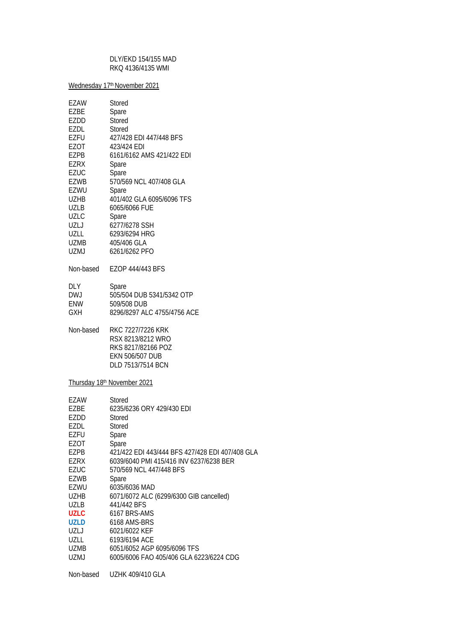#### DLY/EKD 154/155 MAD RKQ 4136/4135 WMI

Wednesday 17<sup>th</sup> November 2021

| EZAW<br>EZBE<br>EZDD<br>EZDL<br>EZFU<br>EZOT<br>EZPB<br><b>EZRX</b><br><b>EZUC</b><br>EZWB<br>EZWU<br>UZHB<br>UZLB<br>UZLC<br>UZLJ<br>UZLL<br>UZMB<br><b>UZMJ</b>                              | Stored<br>Spare<br>Stored<br>Stored<br>427/428 EDI 447/448 BFS<br>423/424 EDI<br>6161/6162 AMS 421/422 EDI<br>Spare<br>Spare<br>570/569 NCL 407/408 GLA<br>Spare<br>401/402 GLA 6095/6096 TFS<br>6065/6066 FUE<br>Spare<br>6277/6278 SSH<br>6293/6294 HRG<br>405/406 GLA<br>6261/6262 PFO                                                                                                                                          |
|------------------------------------------------------------------------------------------------------------------------------------------------------------------------------------------------|------------------------------------------------------------------------------------------------------------------------------------------------------------------------------------------------------------------------------------------------------------------------------------------------------------------------------------------------------------------------------------------------------------------------------------|
| Non-based                                                                                                                                                                                      | EZOP 444/443 BFS                                                                                                                                                                                                                                                                                                                                                                                                                   |
| DLY.<br><b>DWJ</b><br>ENW<br><b>GXH</b>                                                                                                                                                        | <b>Spare</b><br>505/504 DUB 5341/5342 OTP<br>509/508 DUB<br>8296/8297 ALC 4755/4756 ACE                                                                                                                                                                                                                                                                                                                                            |
| Non-based                                                                                                                                                                                      | RKC 7227/7226 KRK<br>RSX 8213/8212 WRO<br>RKS 8217/82166 POZ<br><b>EKN 506/507 DUB</b><br>DLD 7513/7514 BCN                                                                                                                                                                                                                                                                                                                        |
|                                                                                                                                                                                                | Thursday 18th November 2021                                                                                                                                                                                                                                                                                                                                                                                                        |
| EZAW<br>EZBE<br>EZDD<br><b>EZDL</b><br>EZFU<br>EZOT<br>EZPB<br><b>EZRX</b><br><b>EZUC</b><br>EZWB<br>EZWU<br>UZHB<br>UZLB<br><b>UZLC</b><br><b>UZLD</b><br>UZLJ<br>UZLL<br>UZMB<br><b>UZMJ</b> | Stored<br>6235/6236 ORY 429/430 EDI<br>Stored<br>Stored<br>Spare<br>Spare<br>421/422 EDI 443/444 BFS 427/428 EDI 407/408 GLA<br>6039/6040 PMI 415/416 INV 6237/6238 BER<br>570/569 NCL 447/448 BFS<br>Spare<br>6035/6036 MAD<br>6071/6072 ALC (6299/6300 GIB cancelled)<br>441/442 BFS<br>6167 BRS-AMS<br>6168 AMS-BRS<br>6021/6022 KEF<br>6193/6194 ACE<br>6051/6052 AGP 6095/6096 TFS<br>6005/6006 FAO 405/406 GLA 6223/6224 CDG |
| Non-based                                                                                                                                                                                      | <b>UZHK 409/410 GLA</b>                                                                                                                                                                                                                                                                                                                                                                                                            |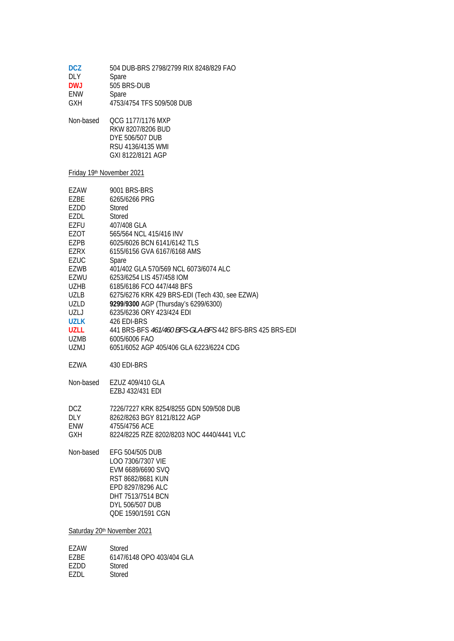| <b>DCZ</b> | 504 DUB-BRS 2798/2799 RIX 8248/829 FAO |
|------------|----------------------------------------|
| <b>DLY</b> | Spare                                  |
| <b>DWJ</b> | 505 BRS-DUB                            |
| ENW        | Spare                                  |
| <b>GXH</b> | 4753/4754 TFS 509/508 DUB              |
| Non-based  | OCG 1177/1176 MXP                      |
|            | RKW 8207/8206 BUD                      |
|            | DYE 506/507 DUB                        |

 RSU 4136/4135 WMI GXI 8122/8121 AGP

# Friday 19th November 2021

EZDD Stored EZDL Stored

| EZAW        | 9001 BRS-BRS                                            |
|-------------|---------------------------------------------------------|
| EZBE        | 6265/6266 PRG                                           |
| EZDD        | <b>Stored</b>                                           |
| EZDL        | Stored                                                  |
| EZFU        | 407/408 GLA                                             |
| EZOT        | 565/564 NCL 415/416 INV                                 |
| EZPB        | 6025/6026 BCN 6141/6142 TLS                             |
| EZRX        | 6155/6156 GVA 6167/6168 AMS                             |
| <b>EZUC</b> | Spare                                                   |
| EZWB        | 401/402 GLA 570/569 NCL 6073/6074 ALC                   |
| EZWU        | 6253/6254 LIS 457/458 IOM                               |
| <b>UZHB</b> | 6185/6186 FCO 447/448 BFS                               |
| UZLB        | 6275/6276 KRK 429 BRS-EDI (Tech 430, see EZWA)          |
| UZLD        | 9299/9300 AGP (Thursday's 6299/6300)                    |
| UZLJ        | 6235/6236 ORY 423/424 EDI                               |
| <b>UZLK</b> | 426 EDI-BRS                                             |
| <b>UZLL</b> | 441 BRS-BFS 461/460 BFS-GLA-BFS 442 BFS-BRS 425 BRS-EDI |
| UZMB        | 6005/6006 FAO                                           |
| UZMJ        | 6051/6052 AGP 405/406 GLA 6223/6224 CDG                 |
|             |                                                         |
| EZWA        | 430 EDI-BRS                                             |
| Non-based   | EZUZ 409/410 GLA                                        |
|             | EZBJ 432/431 EDI                                        |
|             |                                                         |
| <b>DCZ</b>  | 7226/7227 KRK 8254/8255 GDN 509/508 DUB                 |
| <b>DLY</b>  | 8262/8263 BGY 8121/8122 AGP                             |
| ENW         | 4755/4756 ACE                                           |
| GXH.        | 8224/8225 RZE 8202/8203 NOC 4440/4441 VLC               |
|             |                                                         |
| Non-based   | EFG 504/505 DUB                                         |
|             | LOO 7306/7307 VIE                                       |
|             | EVM 6689/6690 SVQ                                       |
|             | RST 8682/8681 KUN                                       |
|             | EPD 8297/8296 ALC                                       |
|             | DHT 7513/7514 BCN                                       |
|             | DYL 506/507 DUB                                         |
|             | QDE 1590/1591 CGN                                       |
|             | Saturday 20th November 2021                             |
|             |                                                         |
| EZAW        | Stored                                                  |
| EZBE        | 6147/6148 OPO 403/404 GLA                               |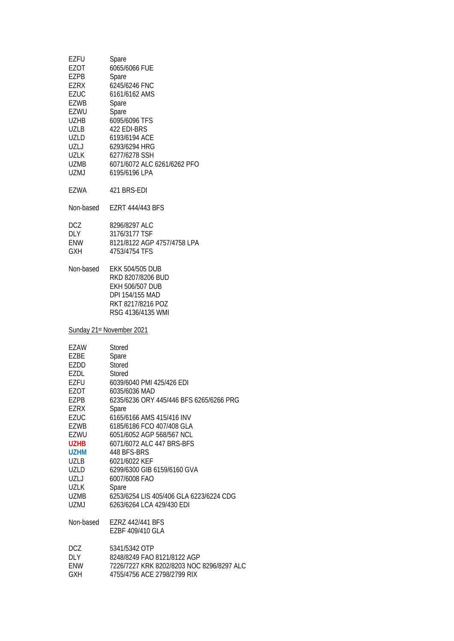| <b>EZFU</b><br>EZOT<br>EZPB<br>EZRX<br>EZUC<br>EZWB<br>EZWU<br>UZHB<br>UZLB<br><b>UZLD</b><br>UZLJ<br>UZLK<br>UZMB<br>UZMJ                                                | Spare<br>6065/6066 FUE<br>Spare<br>6245/6246 FNC<br>6161/6162 AMS<br>Spare<br>Spare<br>6095/6096 TFS<br>422 EDI-BRS<br>6193/6194 ACE<br>6293/6294 HRG<br>6277/6278 SSH<br>6071/6072 ALC 6261/6262 PFO<br>6195/6196 LPA                                                                                                                                                                                                            |
|---------------------------------------------------------------------------------------------------------------------------------------------------------------------------|-----------------------------------------------------------------------------------------------------------------------------------------------------------------------------------------------------------------------------------------------------------------------------------------------------------------------------------------------------------------------------------------------------------------------------------|
| EZWA                                                                                                                                                                      | 421 BRS-EDI                                                                                                                                                                                                                                                                                                                                                                                                                       |
| Non-based                                                                                                                                                                 | <b>EZRT 444/443 BFS</b>                                                                                                                                                                                                                                                                                                                                                                                                           |
| <b>DCZ</b><br>DLY<br>ENW<br><b>GXH</b>                                                                                                                                    | 8296/8297 ALC<br>3176/3177 TSF<br>8121/8122 AGP 4757/4758 LPA<br>4753/4754 TFS                                                                                                                                                                                                                                                                                                                                                    |
| Non-based                                                                                                                                                                 | <b>EKK 504/505 DUB</b><br>RKD 8207/8206 BUD<br><b>EKH 506/507 DUB</b><br>DPI 154/155 MAD<br>RKT 8217/8216 POZ<br>RSG 4136/4135 WMI                                                                                                                                                                                                                                                                                                |
|                                                                                                                                                                           | Sunday 21 <sup>st</sup> November 2021                                                                                                                                                                                                                                                                                                                                                                                             |
| EZAW<br>EZBE<br>EZDD<br>EZDL<br>EZFU<br>EZOT<br>EZPB<br>EZRX<br><b>EZUC</b><br>EZWB<br>EZWU<br><b>UZHB</b><br><b>UZHM</b><br>UZLB<br>UZLD<br>UZLJ<br>UZLK<br>UZMB<br>UZMJ | Stored<br>Spare<br><b>Stored</b><br>Stored<br>6039/6040 PMI 425/426 EDI<br>6035/6036 MAD<br>6235/6236 ORY 445/446 BFS 6265/6266 PRG<br>Spare<br>6165/6166 AMS 415/416 INV<br>6185/6186 FCO 407/408 GLA<br>6051/6052 AGP 568/567 NCL<br>6071/6072 ALC 447 BRS-BFS<br>448 BFS-BRS<br>6021/6022 KEF<br>6299/6300 GIB 6159/6160 GVA<br>6007/6008 FAO<br>Spare<br>6253/6254 LIS 405/406 GLA 6223/6224 CDG<br>6263/6264 LCA 429/430 EDI |
| Non-based                                                                                                                                                                 | EZRZ 442/441 BFS<br>EZBF 409/410 GLA                                                                                                                                                                                                                                                                                                                                                                                              |
| DCZ<br>DLY<br>ENW<br><b>GXH</b>                                                                                                                                           | 5341/5342 OTP<br>8248/8249 FAO 8121/8122 AGP<br>7226/7227 KRK 8202/8203 NOC 8296/8297 ALC<br>4755/4756 ACE 2798/2799 RIX                                                                                                                                                                                                                                                                                                          |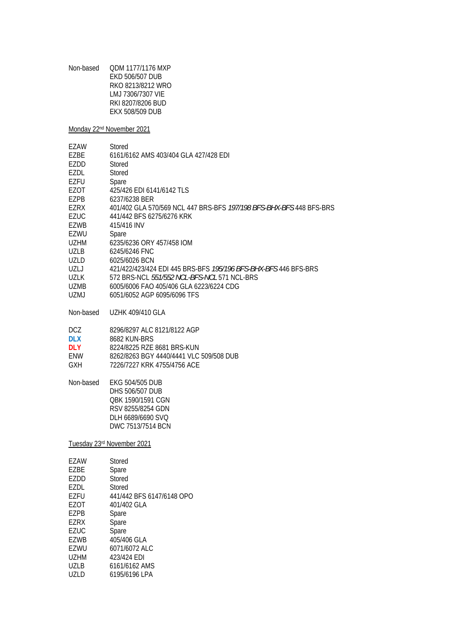Non-based QDM 1177/1176 MXP EKD 506/507 DUB RKO 8213/8212 WRO LMJ 7306/7307 VIE RKI 8207/8206 BUD EKX 508/509 DUB

Monday 22nd November 2021

| EZAW<br>F7RF<br>EZDD | Stored<br>6161/6162 AMS 403/404 GLA 427/428 EDI<br>Stored              |
|----------------------|------------------------------------------------------------------------|
| F7DI.                | Stored                                                                 |
| EZFU                 | Spare                                                                  |
| EZOT                 | 425/426 EDI 6141/6142 TLS                                              |
| F7PB                 | 6237/6238 BER                                                          |
| F7RX                 | 401/402 GLA 570/569 NCL 447 BRS-BFS 197/198 BFS-BHX-BFS 448 BFS-BRS    |
| F7UC                 | 441/442 BFS 6275/6276 KRK                                              |
| F7WB                 | 415/416 INV                                                            |
| EZWU                 | Spare                                                                  |
| <b>UZHM</b>          | 6235/6236 ORY 457/458 IOM                                              |
| UZI B                | 6245/6246 FNC                                                          |
| UZLD                 | 6025/6026 BCN                                                          |
| 171                  | 421/422/423/424 EDI 445 BRS-BFS <i>195/196 BFS-BHX-BFS</i> 446 BFS-BRS |
| U71 K                | 572 BRS-NCL <i>551/552 NCL-BFS-NCL</i> 571 NCL-BRS                     |
| <b>UZMB</b>          | 6005/6006 FAO 405/406 GLA 6223/6224 CDG                                |
| UZMJ                 | 6051/6052 AGP 6095/6096 TFS                                            |
|                      |                                                                        |

Non-based UZHK 409/410 GLA

DCZ 8296/8297 ALC 8121/8122 AGP<br>DLX 8682 KUN-BRS

**DLX** 8682 KUN-BRS<br> **DLY** 8224/8225 RZE

**DLY** 8224/8225 RZE 8681 BRS-KUN ENW 8262/8263 BGY 4440/4441 VLC 509/508 DUB

GXH 7226/7227 KRK 4755/4756 ACE

Non-based EKG 504/505 DUB DHS 506/507 DUB QBK 1590/1591 CGN RSV 8255/8254 GDN DLH 6689/6690 SVQ DWC 7513/7514 BCN

Tuesday 23rd November 2021

| EZAW        | Stored                    |
|-------------|---------------------------|
| F7BF        | Spare                     |
| EZDD        | Stored                    |
| EZDL        | Stored                    |
| EZFU        | 441/442 BFS 6147/6148 OPO |
| F70T        | 401/402 GLA               |
| EZPB        | Spare                     |
| F7RX        | Spare                     |
| EZUC        | Spare                     |
| <b>EZWB</b> | 405/406 GLA               |
| EZWU        | 6071/6072 ALC             |
| U7HM        | 423/424 FDI               |
| <b>UZLB</b> | 6161/6162 AMS             |
| UZLD        | 6195/6196 LPA             |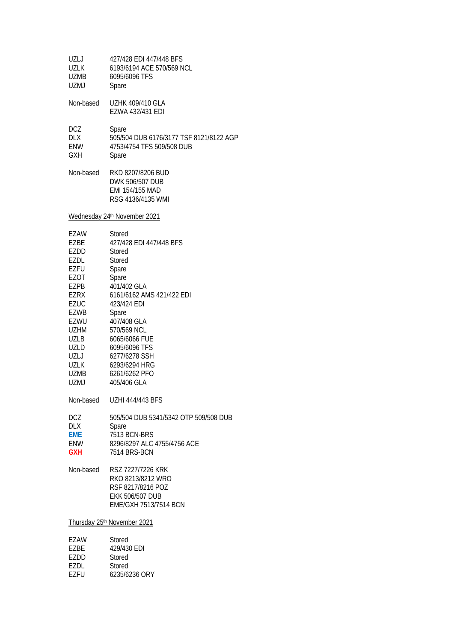| UZLJ<br>UZLK<br>UZMB<br>UZMJ                                                                                                                                                    | 427/428 EDI 447/448 BFS<br>6193/6194 ACE 570/569 NCL<br>6095/6096 TFS<br>Spare                                                                                                                                                                                                |
|---------------------------------------------------------------------------------------------------------------------------------------------------------------------------------|-------------------------------------------------------------------------------------------------------------------------------------------------------------------------------------------------------------------------------------------------------------------------------|
| Non-based                                                                                                                                                                       | <b>UZHK 409/410 GLA</b><br>EZWA 432/431 EDI                                                                                                                                                                                                                                   |
| <b>DCZ</b><br>DLX<br>ENW<br>GXH                                                                                                                                                 | Spare<br>505/504 DUB 6176/3177 TSF 8121/8122 AGP<br>4753/4754 TFS 509/508 DUB<br>Spare                                                                                                                                                                                        |
| Non-based                                                                                                                                                                       | RKD 8207/8206 BUD<br>DWK 506/507 DUB<br>EMI 154/155 MAD<br>RSG 4136/4135 WMI                                                                                                                                                                                                  |
|                                                                                                                                                                                 | Wednesday 24th November 2021                                                                                                                                                                                                                                                  |
| EZAW<br><b>EZBE</b><br>EZDD<br>EZDL<br><b>EZFU</b><br>EZOT<br>EZPB<br>EZRX<br><b>EZUC</b><br>EZWB<br>EZWU<br><b>UZHM</b><br>UZLB<br>UZLD<br>UZLJ<br>UZLK<br>UZMB<br><b>UZMJ</b> | Stored<br>427/428 EDI 447/448 BFS<br>Stored<br>Stored<br>Spare<br>Spare<br>401/402 GLA<br>6161/6162 AMS 421/422 EDI<br>423/424 EDI<br>Spare<br>407/408 GLA<br>570/569 NCL<br>6065/6066 FUE<br>6095/6096 TFS<br>6277/6278 SSH<br>6293/6294 HRG<br>6261/6262 PFO<br>405/406 GLA |
| Non-based                                                                                                                                                                       | <b>UZHI 444/443 BFS</b>                                                                                                                                                                                                                                                       |
| DCZ<br>DLX<br><b>EME</b><br>ENW<br><b>GXH</b>                                                                                                                                   | 505/504 DUB 5341/5342 OTP 509/508 DUB<br>Spare<br>7513 BCN-BRS<br>8296/8297 ALC 4755/4756 ACE<br>7514 BRS-BCN                                                                                                                                                                 |
| Non-based                                                                                                                                                                       | RSZ 7227/7226 KRK<br>RKO 8213/8212 WRO<br>RSF 8217/8216 POZ<br><b>EKK 506/507 DUB</b><br>EME/GXH 7513/7514 BCN                                                                                                                                                                |
|                                                                                                                                                                                 | Thursday 25th November 2021                                                                                                                                                                                                                                                   |
| EZAW<br>EZBE<br>EZDD                                                                                                                                                            | Stored<br>429/430 EDI<br>Stored                                                                                                                                                                                                                                               |

EZDL Stored<br>EZFU 6235/62

6235/6236 ORY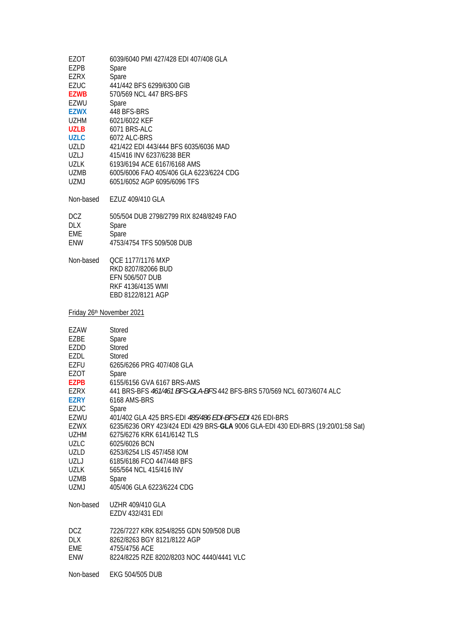| EZOT<br>EZPB               | 6039/6040 PMI 427/428 EDI 407/408 GLA<br>Spare                                                      |
|----------------------------|-----------------------------------------------------------------------------------------------------|
| EZRX<br>EZUC               | Spare<br>441/442 BFS 6299/6300 GIB                                                                  |
| <b>EZWB</b><br>EZWU        | 570/569 NCL 447 BRS-BFS<br>Spare                                                                    |
| <b>EZWX</b><br>UZHM        | 448 BFS-BRS<br>6021/6022 KEF                                                                        |
| <b>UZLB</b><br><b>UZLC</b> | 6071 BRS-ALC<br>6072 ALC-BRS                                                                        |
| UZLD                       | 421/422 EDI 443/444 BFS 6035/6036 MAD                                                               |
| UZLJ<br>UZLK               | 415/416 INV 6237/6238 BER<br>6193/6194 ACE 6167/6168 AMS                                            |
| UZMB                       | 6005/6006 FAO 405/406 GLA 6223/6224 CDG                                                             |
| <b>UZMJ</b>                | 6051/6052 AGP 6095/6096 TFS                                                                         |
| Non-based                  | EZUZ 409/410 GLA                                                                                    |
| DCZ<br>DLX                 | 505/504 DUB 2798/2799 RIX 8248/8249 FAO<br>Spare                                                    |
| EME                        | Spare                                                                                               |
| ENW                        | 4753/4754 TFS 509/508 DUB                                                                           |
| Non-based                  | QCE 1177/1176 MXP<br>RKD 8207/82066 BUD                                                             |
|                            | EFN 506/507 DUB                                                                                     |
|                            | RKF 4136/4135 WMI<br>EBD 8122/8121 AGP                                                              |
|                            |                                                                                                     |
| Friday 26th November 2021  |                                                                                                     |
| EZAW<br>EZBE               | Stored<br>Spare                                                                                     |
| EZDD                       | Stored                                                                                              |
| EZDL<br>EZFU               | Stored<br>6265/6266 PRG 407/408 GLA                                                                 |
| EZOT                       | Spare                                                                                               |
| <b>EZPB</b><br><b>EZRX</b> | 6155/6156 GVA 6167 BRS-AMS<br>441 BRS-BFS 461/461 BFS-GLA-BFS 442 BFS-BRS 570/569 NCL 6073/6074 ALC |
| <b>EZRY</b>                | 6168 AMS-BRS                                                                                        |
| EZUC<br>EZWU               | Spare<br>401/402 GLA 425 BRS-EDI 485/486 EDI-BFS-EDI 426 EDI-BRS                                    |
| EZWX                       | 6235/6236 ORY 423/424 EDI 429 BRS-GLA 9006 GLA-EDI 430 EDI-BRS (19:20/01:58 Sat)                    |
| UZHM<br><b>UZLC</b>        | 6275/6276 KRK 6141/6142 TLS<br>6025/6026 BCN                                                        |
| UZLD                       | 6253/6254 LIS 457/458 IOM                                                                           |
| UZLJ<br>UZLK               | 6185/6186 FCO 447/448 BFS<br>565/564 NCL 415/416 INV                                                |
| UZMB                       | Spare                                                                                               |
| <b>UZMJ</b>                | 405/406 GLA 6223/6224 CDG                                                                           |
| Non-based                  | <b>UZHR 409/410 GLA</b><br>EZDV 432/431 EDI                                                         |
| DCZ.                       | 7226/7227 KRK 8254/8255 GDN 509/508 DUB                                                             |
| DLX                        | 8262/8263 BGY 8121/8122 AGP                                                                         |
| EME<br>ENW                 | 4755/4756 ACE<br>8224/8225 RZE 8202/8203 NOC 4440/4441 VLC                                          |
| Non-based                  | EKG 504/505 DUB                                                                                     |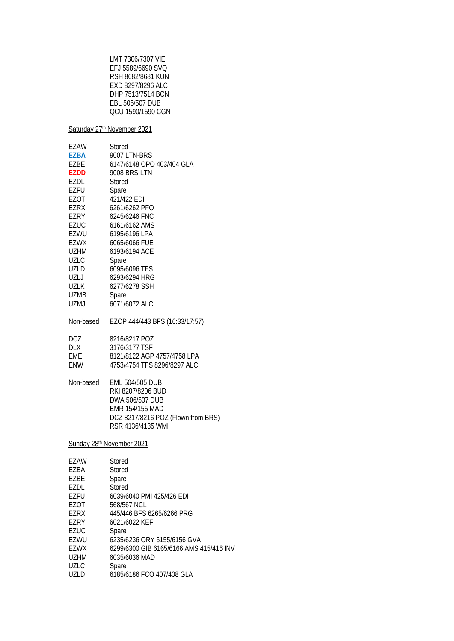LMT 7306/7307 VIE EFJ 5589/6690 SVQ RSH 8682/8681 KUN EXD 8297/8296 ALC DHP 7513/7514 BCN EBL 506/507 DUB QCU 1590/1590 CGN

Saturday 27<sup>th</sup> November 2021

| EZAW                      | Stored                             |  |
|---------------------------|------------------------------------|--|
| <b>EZBA</b>               | 9007 LTN-BRS                       |  |
| EZBE                      | 6147/6148 OPO 403/404 GLA          |  |
| <b>EZDD</b>               | 9008 BRS-LTN                       |  |
| EZDL                      | Stored                             |  |
| <b>EZFU</b>               | Spare                              |  |
| EZOT                      | 421/422 EDI                        |  |
| <b>EZRX</b>               | 6261/6262 PFO                      |  |
| EZRY                      | 6245/6246 FNC                      |  |
| <b>EZUC</b>               | 6161/6162 AMS                      |  |
| EZWU                      | 6195/6196 LPA                      |  |
| <b>EZWX</b>               | 6065/6066 FUE                      |  |
| UZHM                      | 6193/6194 ACE                      |  |
| <b>UZLC</b>               | Spare                              |  |
| UZLD                      | 6095/6096 TFS                      |  |
| UZLJ                      | 6293/6294 HRG                      |  |
| <b>UZLK</b>               | 6277/6278 SSH                      |  |
| UZMB                      | Spare                              |  |
| <b>UZMJ</b>               | 6071/6072 ALC                      |  |
| Non-based                 | EZOP 444/443 BFS (16:33/17:57)     |  |
| DCZ                       | 8216/8217 POZ                      |  |
| <b>DLX</b>                | 3176/3177 TSF                      |  |
| <b>EME</b>                | 8121/8122 AGP 4757/4758 LPA        |  |
| ENW                       | 4753/4754 TFS 8296/8297 ALC        |  |
| Non-based                 | <b>EML 504/505 DUB</b>             |  |
|                           | RKI 8207/8206 BUD                  |  |
|                           | DWA 506/507 DUB                    |  |
|                           | EMR 154/155 MAD                    |  |
|                           | DCZ 8217/8216 POZ (Flown from BRS) |  |
|                           | RSR 4136/4135 WMI                  |  |
| Sunday 28th November 2021 |                                    |  |
| EZAW                      | Stored                             |  |
| EZBA                      | Stored                             |  |
| EZBE                      | Spare                              |  |
| EZDL                      | <b>Stored</b>                      |  |
| <b>EZFU</b>               | 6039/6040 PMI 425/426 EDI          |  |
| EZOT                      | 568/567 NCL                        |  |

EZRX 445/446 BFS 6265/6266 PRG<br>EZRY 6021/6022 KEF

EZRY 6021/6022 KEF<br>EZUC Spare

EZUC Spare<br>EZWU 6235/6

EZWU 6235/6236 ORY 6155/6156 GVA<br>EZWX 6299/6300 GIB 6165/6166 AMS 4

- EZWX 6299/6300 GIB 6165/6166 AMS 415/416 INV
- UZHM 6035/6036 MAD<br>UZLC Spare
- UZLC Spare<br>UZLD 6185/6
- 6185/6186 FCO 407/408 GLA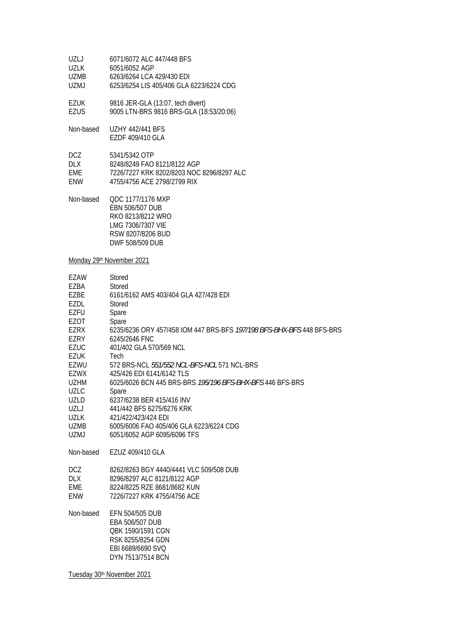| UZLJ        | 6071/6072 ALC 447/448 BFS                 |
|-------------|-------------------------------------------|
| UZLK        | 6051/6052 AGP                             |
| <b>UZMB</b> | 6263/6264 LCA 429/430 EDI                 |
| UZMJ        | 6253/6254 LIS 405/406 GLA 6223/6224 CDG   |
| EZUK        | 9816 JER-GLA (13:07, tech divert)         |
| EZUS        | 9005 LTN-BRS 9816 BRS-GLA (18:53/20:06)   |
| Non-based   | <b>UZHY 442/441 BFS</b>                   |
|             | EZDF 409/410 GLA                          |
| <b>DCZ</b>  | 5341/5342 OTP                             |
| <b>DLX</b>  | 8248/8249 FAO 8121/8122 AGP               |
| <b>EME</b>  | 7226/7227 KRK 8202/8203 NOC 8296/8297 ALC |
| <b>FNW</b>  | 4755/4756 ACE 2798/2799 RIX               |
|             |                                           |

Non-based QDC 1177/1176 MXP EBN 506/507 DUB RKO 8213/8212 WRO LMG 7306/7307 VIE RSW 8207/8206 BUD DWF 508/509 DUB

Monday 29<sup>th</sup> November 2021

| EZAW        | Stored                                                                                                                 |
|-------------|------------------------------------------------------------------------------------------------------------------------|
| F7BA        | Stored                                                                                                                 |
| <b>EZBE</b> | 6161/6162 AMS 403/404 GLA 427/428 FDL                                                                                  |
| <b>EZDL</b> | Stored                                                                                                                 |
| EZFU        | Spare                                                                                                                  |
| <b>EZOT</b> | Spare                                                                                                                  |
| <b>EZRX</b> | 6235/6236 ORY 457/458 IOM 447 BRS-BFS 197/198 BFS-BHX-BFS 448 BFS-BRS                                                  |
| EZRY        | 6245/2646 FNC                                                                                                          |
| <b>EZUC</b> | 401/402 GLA 570/569 NCL                                                                                                |
| <b>EZUK</b> | Tech                                                                                                                   |
| EZWU        | 572 BRS-NCL 551/552 NCL-BFS-NCL 571 NCL-BRS                                                                            |
| EZWX        | 425/426 EDI 6141/6142 TLS                                                                                              |
| <b>UZHM</b> | 6025/6026 BCN 445 BRS-BRS 195/196 BFS-BHX-BFS 446 BFS-BRS                                                              |
| <b>UZLC</b> | Spare                                                                                                                  |
| UZLD        | 6237/6238 BER 415/416 INV                                                                                              |
| UZLJ        | 441/442 BFS 6275/6276 KRK                                                                                              |
| <b>UZLK</b> | 421/422/423/424 EDI                                                                                                    |
| UZMB        | 6005/6006 FAO 405/406 GLA 6223/6224 CDG                                                                                |
| UZMJ        | 6051/6052 AGP 6095/6096 TFS                                                                                            |
| Non-based   | EZUZ 409/410 GLA                                                                                                       |
| DCZ.        | 8262/8263 BGY 4440/4441 VLC 509/508 DUB                                                                                |
| <b>DLX</b>  | 8296/8297 ALC 8121/8122 AGP                                                                                            |
| EME         | 8224/8225 RZE 8681/8682 KUN                                                                                            |
| <b>ENW</b>  | 7226/7227 KRK 4755/4756 ACE                                                                                            |
| Non-based   | EFN 504/505 DUB<br>EBA 506/507 DUB<br>QBK 1590/1591 CGN<br>RSK 8255/8254 GDN<br>EBI 6689/6690 SVO<br>DYN 7513/7514 BCN |

Tuesday 30<sup>th</sup> November 2021